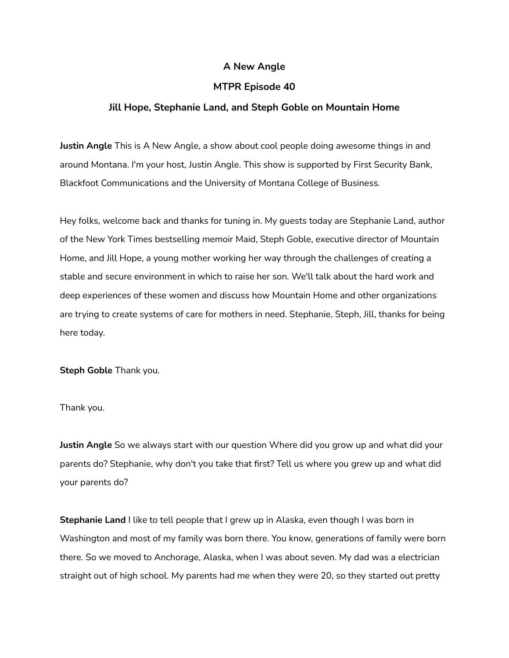## **A New Angle**

## **MTPR Episode 40**

## **Jill Hope, Stephanie Land, and Steph Goble on Mountain Home**

**Justin Angle** This is A New Angle, a show about cool people doing awesome things in and around Montana. I'm your host, Justin Angle. This show is supported by First Security Bank, Blackfoot Communications and the University of Montana College of Business.

Hey folks, welcome back and thanks for tuning in. My guests today are Stephanie Land, author of the New York Times bestselling memoir Maid, Steph Goble, executive director of Mountain Home, and Jill Hope, a young mother working her way through the challenges of creating a stable and secure environment in which to raise her son. We'll talk about the hard work and deep experiences of these women and discuss how Mountain Home and other organizations are trying to create systems of care for mothers in need. Stephanie, Steph, Jill, thanks for being here today.

**Steph Goble** Thank you.

Thank you.

**Justin Angle** So we always start with our question Where did you grow up and what did your parents do? Stephanie, why don't you take that first? Tell us where you grew up and what did your parents do?

**Stephanie Land** I like to tell people that I grew up in Alaska, even though I was born in Washington and most of my family was born there. You know, generations of family were born there. So we moved to Anchorage, Alaska, when I was about seven. My dad was a electrician straight out of high school. My parents had me when they were 20, so they started out pretty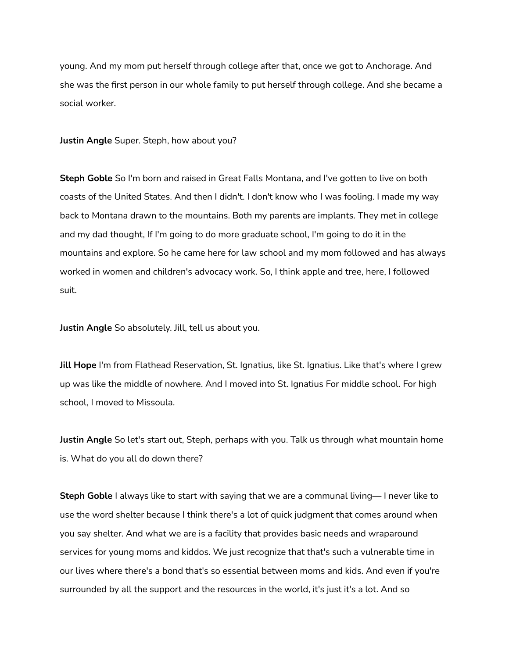young. And my mom put herself through college after that, once we got to Anchorage. And she was the first person in our whole family to put herself through college. And she became a social worker.

**Justin Angle** Super. Steph, how about you?

**Steph Goble** So I'm born and raised in Great Falls Montana, and I've gotten to live on both coasts of the United States. And then I didn't. I don't know who I was fooling. I made my way back to Montana drawn to the mountains. Both my parents are implants. They met in college and my dad thought, If I'm going to do more graduate school, I'm going to do it in the mountains and explore. So he came here for law school and my mom followed and has always worked in women and children's advocacy work. So, I think apple and tree, here, I followed suit.

**Justin Angle** So absolutely. Jill, tell us about you.

**Jill Hope** I'm from Flathead Reservation, St. Ignatius, like St. Ignatius. Like that's where I grew up was like the middle of nowhere. And I moved into St. Ignatius For middle school. For high school, I moved to Missoula.

**Justin Angle** So let's start out, Steph, perhaps with you. Talk us through what mountain home is. What do you all do down there?

**Steph Goble** I always like to start with saying that we are a communal living— I never like to use the word shelter because I think there's a lot of quick judgment that comes around when you say shelter. And what we are is a facility that provides basic needs and wraparound services for young moms and kiddos. We just recognize that that's such a vulnerable time in our lives where there's a bond that's so essential between moms and kids. And even if you're surrounded by all the support and the resources in the world, it's just it's a lot. And so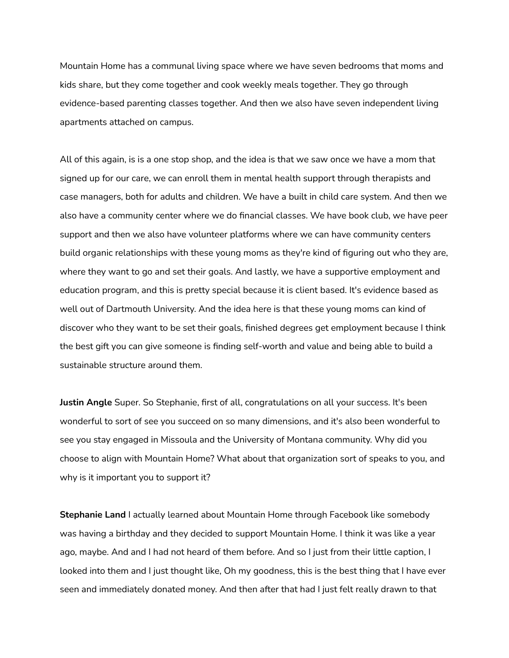Mountain Home has a communal living space where we have seven bedrooms that moms and kids share, but they come together and cook weekly meals together. They go through evidence-based parenting classes together. And then we also have seven independent living apartments attached on campus.

All of this again, is is a one stop shop, and the idea is that we saw once we have a mom that signed up for our care, we can enroll them in mental health support through therapists and case managers, both for adults and children. We have a built in child care system. And then we also have a community center where we do financial classes. We have book club, we have peer support and then we also have volunteer platforms where we can have community centers build organic relationships with these young moms as they're kind of figuring out who they are, where they want to go and set their goals. And lastly, we have a supportive employment and education program, and this is pretty special because it is client based. It's evidence based as well out of Dartmouth University. And the idea here is that these young moms can kind of discover who they want to be set their goals, finished degrees get employment because I think the best gift you can give someone is finding self-worth and value and being able to build a sustainable structure around them.

**Justin Angle** Super. So Stephanie, first of all, congratulations on all your success. It's been wonderful to sort of see you succeed on so many dimensions, and it's also been wonderful to see you stay engaged in Missoula and the University of Montana community. Why did you choose to align with Mountain Home? What about that organization sort of speaks to you, and why is it important you to support it?

**Stephanie Land** I actually learned about Mountain Home through Facebook like somebody was having a birthday and they decided to support Mountain Home. I think it was like a year ago, maybe. And and I had not heard of them before. And so I just from their little caption, I looked into them and I just thought like, Oh my goodness, this is the best thing that I have ever seen and immediately donated money. And then after that had I just felt really drawn to that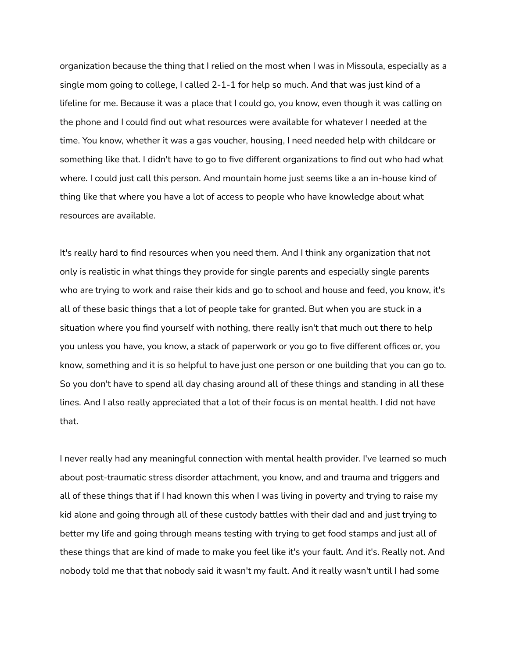organization because the thing that I relied on the most when I was in Missoula, especially as a single mom going to college, I called 2-1-1 for help so much. And that was just kind of a lifeline for me. Because it was a place that I could go, you know, even though it was calling on the phone and I could find out what resources were available for whatever I needed at the time. You know, whether it was a gas voucher, housing, I need needed help with childcare or something like that. I didn't have to go to five different organizations to find out who had what where. I could just call this person. And mountain home just seems like a an in-house kind of thing like that where you have a lot of access to people who have knowledge about what resources are available.

It's really hard to find resources when you need them. And I think any organization that not only is realistic in what things they provide for single parents and especially single parents who are trying to work and raise their kids and go to school and house and feed, you know, it's all of these basic things that a lot of people take for granted. But when you are stuck in a situation where you find yourself with nothing, there really isn't that much out there to help you unless you have, you know, a stack of paperwork or you go to five different offices or, you know, something and it is so helpful to have just one person or one building that you can go to. So you don't have to spend all day chasing around all of these things and standing in all these lines. And I also really appreciated that a lot of their focus is on mental health. I did not have that.

I never really had any meaningful connection with mental health provider. I've learned so much about post-traumatic stress disorder attachment, you know, and and trauma and triggers and all of these things that if I had known this when I was living in poverty and trying to raise my kid alone and going through all of these custody battles with their dad and and just trying to better my life and going through means testing with trying to get food stamps and just all of these things that are kind of made to make you feel like it's your fault. And it's. Really not. And nobody told me that that nobody said it wasn't my fault. And it really wasn't until I had some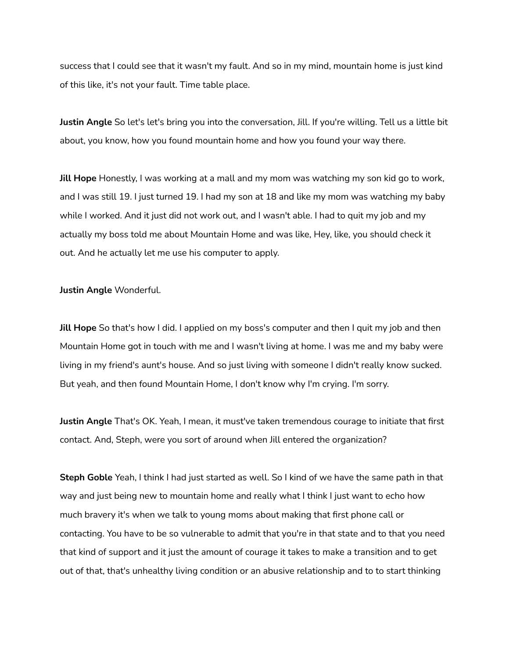success that I could see that it wasn't my fault. And so in my mind, mountain home is just kind of this like, it's not your fault. Time table place.

**Justin Angle** So let's let's bring you into the conversation, Jill. If you're willing. Tell us a little bit about, you know, how you found mountain home and how you found your way there.

**Jill Hope** Honestly, I was working at a mall and my mom was watching my son kid go to work, and I was still 19. I just turned 19. I had my son at 18 and like my mom was watching my baby while I worked. And it just did not work out, and I wasn't able. I had to quit my job and my actually my boss told me about Mountain Home and was like, Hey, like, you should check it out. And he actually let me use his computer to apply.

**Justin Angle** Wonderful.

**Jill Hope** So that's how I did. I applied on my boss's computer and then I quit my job and then Mountain Home got in touch with me and I wasn't living at home. I was me and my baby were living in my friend's aunt's house. And so just living with someone I didn't really know sucked. But yeah, and then found Mountain Home, I don't know why I'm crying. I'm sorry.

**Justin Angle** That's OK. Yeah, I mean, it must've taken tremendous courage to initiate that first contact. And, Steph, were you sort of around when Jill entered the organization?

**Steph Goble** Yeah, I think I had just started as well. So I kind of we have the same path in that way and just being new to mountain home and really what I think I just want to echo how much bravery it's when we talk to young moms about making that first phone call or contacting. You have to be so vulnerable to admit that you're in that state and to that you need that kind of support and it just the amount of courage it takes to make a transition and to get out of that, that's unhealthy living condition or an abusive relationship and to to start thinking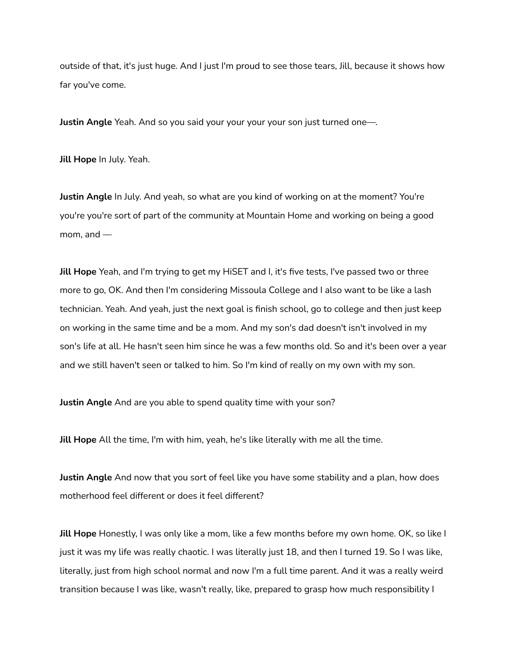outside of that, it's just huge. And I just I'm proud to see those tears, Jill, because it shows how far you've come.

**Justin Angle** Yeah. And so you said your your your your son just turned one—.

**Jill Hope** In July. Yeah.

**Justin Angle** In July. And yeah, so what are you kind of working on at the moment? You're you're you're sort of part of the community at Mountain Home and working on being a good mom, and —

**Jill Hope** Yeah, and I'm trying to get my HiSET and I, it's five tests, I've passed two or three more to go, OK. And then I'm considering Missoula College and I also want to be like a lash technician. Yeah. And yeah, just the next goal is finish school, go to college and then just keep on working in the same time and be a mom. And my son's dad doesn't isn't involved in my son's life at all. He hasn't seen him since he was a few months old. So and it's been over a year and we still haven't seen or talked to him. So I'm kind of really on my own with my son.

**Justin Angle** And are you able to spend quality time with your son?

**Jill Hope** All the time, I'm with him, yeah, he's like literally with me all the time.

**Justin Angle** And now that you sort of feel like you have some stability and a plan, how does motherhood feel different or does it feel different?

**Jill Hope** Honestly, I was only like a mom, like a few months before my own home. OK, so like I just it was my life was really chaotic. I was literally just 18, and then I turned 19. So I was like, literally, just from high school normal and now I'm a full time parent. And it was a really weird transition because I was like, wasn't really, like, prepared to grasp how much responsibility I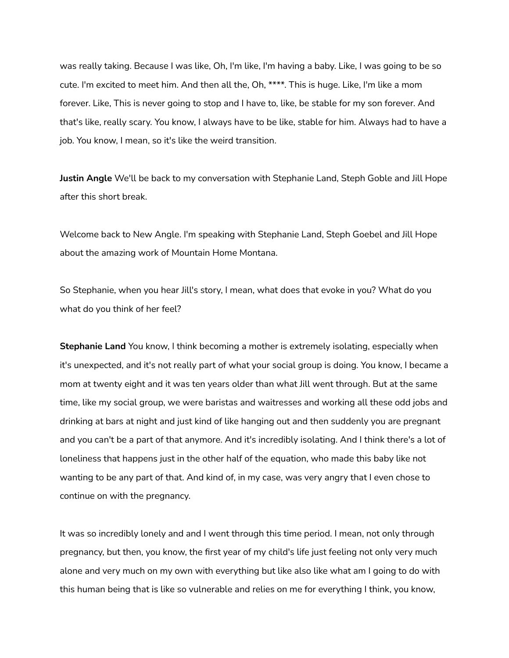was really taking. Because I was like, Oh, I'm like, I'm having a baby. Like, I was going to be so cute. I'm excited to meet him. And then all the, Oh, \*\*\*\*. This is huge. Like, I'm like a mom forever. Like, This is never going to stop and I have to, like, be stable for my son forever. And that's like, really scary. You know, I always have to be like, stable for him. Always had to have a job. You know, I mean, so it's like the weird transition.

**Justin Angle** We'll be back to my conversation with Stephanie Land, Steph Goble and Jill Hope after this short break.

Welcome back to New Angle. I'm speaking with Stephanie Land, Steph Goebel and Jill Hope about the amazing work of Mountain Home Montana.

So Stephanie, when you hear Jill's story, I mean, what does that evoke in you? What do you what do you think of her feel?

**Stephanie Land** You know, I think becoming a mother is extremely isolating, especially when it's unexpected, and it's not really part of what your social group is doing. You know, I became a mom at twenty eight and it was ten years older than what Jill went through. But at the same time, like my social group, we were baristas and waitresses and working all these odd jobs and drinking at bars at night and just kind of like hanging out and then suddenly you are pregnant and you can't be a part of that anymore. And it's incredibly isolating. And I think there's a lot of loneliness that happens just in the other half of the equation, who made this baby like not wanting to be any part of that. And kind of, in my case, was very angry that I even chose to continue on with the pregnancy.

It was so incredibly lonely and and I went through this time period. I mean, not only through pregnancy, but then, you know, the first year of my child's life just feeling not only very much alone and very much on my own with everything but like also like what am I going to do with this human being that is like so vulnerable and relies on me for everything I think, you know,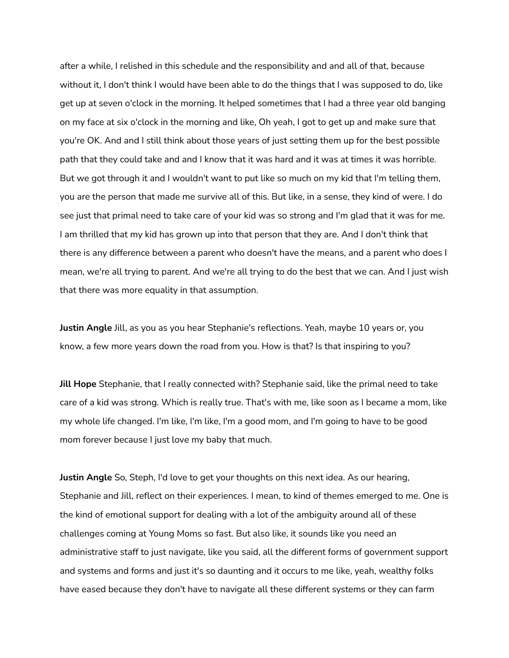after a while, I relished in this schedule and the responsibility and and all of that, because without it, I don't think I would have been able to do the things that I was supposed to do, like get up at seven o'clock in the morning. It helped sometimes that I had a three year old banging on my face at six o'clock in the morning and like, Oh yeah, I got to get up and make sure that you're OK. And and I still think about those years of just setting them up for the best possible path that they could take and and I know that it was hard and it was at times it was horrible. But we got through it and I wouldn't want to put like so much on my kid that I'm telling them, you are the person that made me survive all of this. But like, in a sense, they kind of were. I do see just that primal need to take care of your kid was so strong and I'm glad that it was for me. I am thrilled that my kid has grown up into that person that they are. And I don't think that there is any difference between a parent who doesn't have the means, and a parent who does I mean, we're all trying to parent. And we're all trying to do the best that we can. And I just wish that there was more equality in that assumption.

**Justin Angle** Jill, as you as you hear Stephanie's reflections. Yeah, maybe 10 years or, you know, a few more years down the road from you. How is that? Is that inspiring to you?

**Jill Hope** Stephanie, that I really connected with? Stephanie said, like the primal need to take care of a kid was strong. Which is really true. That's with me, like soon as I became a mom, like my whole life changed. I'm like, I'm like, I'm a good mom, and I'm going to have to be good mom forever because I just love my baby that much.

**Justin Angle** So, Steph, I'd love to get your thoughts on this next idea. As our hearing, Stephanie and Jill, reflect on their experiences. I mean, to kind of themes emerged to me. One is the kind of emotional support for dealing with a lot of the ambiguity around all of these challenges coming at Young Moms so fast. But also like, it sounds like you need an administrative staff to just navigate, like you said, all the different forms of government support and systems and forms and just it's so daunting and it occurs to me like, yeah, wealthy folks have eased because they don't have to navigate all these different systems or they can farm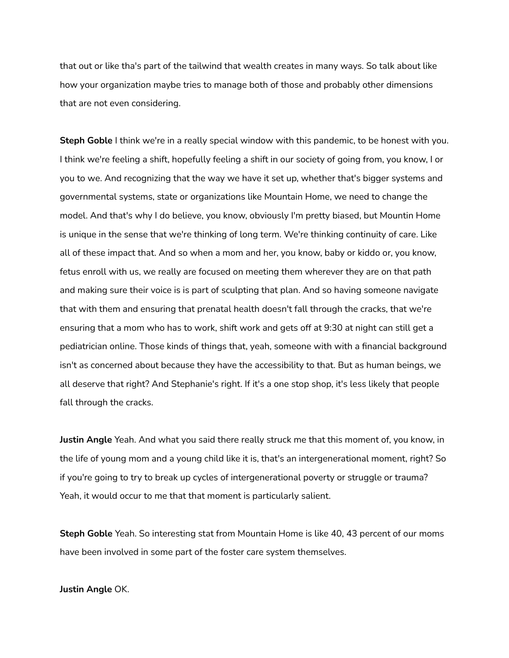that out or like tha's part of the tailwind that wealth creates in many ways. So talk about like how your organization maybe tries to manage both of those and probably other dimensions that are not even considering.

**Steph Goble** I think we're in a really special window with this pandemic, to be honest with you. I think we're feeling a shift, hopefully feeling a shift in our society of going from, you know, I or you to we. And recognizing that the way we have it set up, whether that's bigger systems and governmental systems, state or organizations like Mountain Home, we need to change the model. And that's why I do believe, you know, obviously I'm pretty biased, but Mountin Home is unique in the sense that we're thinking of long term. We're thinking continuity of care. Like all of these impact that. And so when a mom and her, you know, baby or kiddo or, you know, fetus enroll with us, we really are focused on meeting them wherever they are on that path and making sure their voice is is part of sculpting that plan. And so having someone navigate that with them and ensuring that prenatal health doesn't fall through the cracks, that we're ensuring that a mom who has to work, shift work and gets off at 9:30 at night can still get a pediatrician online. Those kinds of things that, yeah, someone with with a financial background isn't as concerned about because they have the accessibility to that. But as human beings, we all deserve that right? And Stephanie's right. If it's a one stop shop, it's less likely that people fall through the cracks.

**Justin Angle** Yeah. And what you said there really struck me that this moment of, you know, in the life of young mom and a young child like it is, that's an intergenerational moment, right? So if you're going to try to break up cycles of intergenerational poverty or struggle or trauma? Yeah, it would occur to me that that moment is particularly salient.

**Steph Goble** Yeah. So interesting stat from Mountain Home is like 40, 43 percent of our moms have been involved in some part of the foster care system themselves.

**Justin Angle** OK.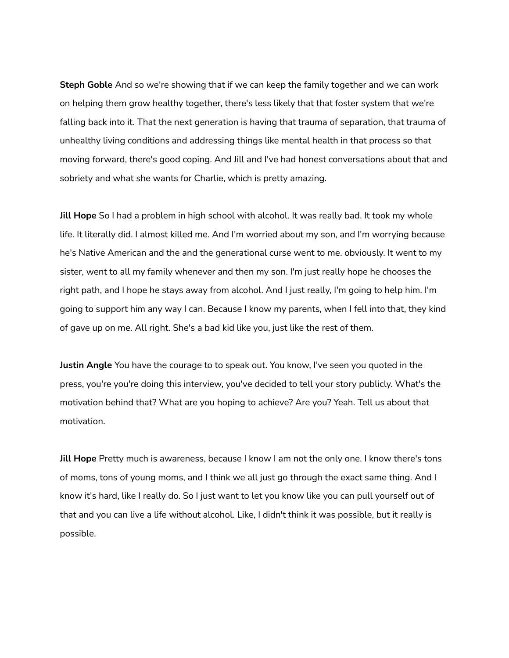**Steph Goble** And so we're showing that if we can keep the family together and we can work on helping them grow healthy together, there's less likely that that foster system that we're falling back into it. That the next generation is having that trauma of separation, that trauma of unhealthy living conditions and addressing things like mental health in that process so that moving forward, there's good coping. And Jill and I've had honest conversations about that and sobriety and what she wants for Charlie, which is pretty amazing.

**Jill Hope** So I had a problem in high school with alcohol. It was really bad. It took my whole life. It literally did. I almost killed me. And I'm worried about my son, and I'm worrying because he's Native American and the and the generational curse went to me. obviously. It went to my sister, went to all my family whenever and then my son. I'm just really hope he chooses the right path, and I hope he stays away from alcohol. And I just really, I'm going to help him. I'm going to support him any way I can. Because I know my parents, when I fell into that, they kind of gave up on me. All right. She's a bad kid like you, just like the rest of them.

**Justin Angle** You have the courage to to speak out. You know, I've seen you quoted in the press, you're you're doing this interview, you've decided to tell your story publicly. What's the motivation behind that? What are you hoping to achieve? Are you? Yeah. Tell us about that motivation.

**Jill Hope** Pretty much is awareness, because I know I am not the only one. I know there's tons of moms, tons of young moms, and I think we all just go through the exact same thing. And I know it's hard, like I really do. So I just want to let you know like you can pull yourself out of that and you can live a life without alcohol. Like, I didn't think it was possible, but it really is possible.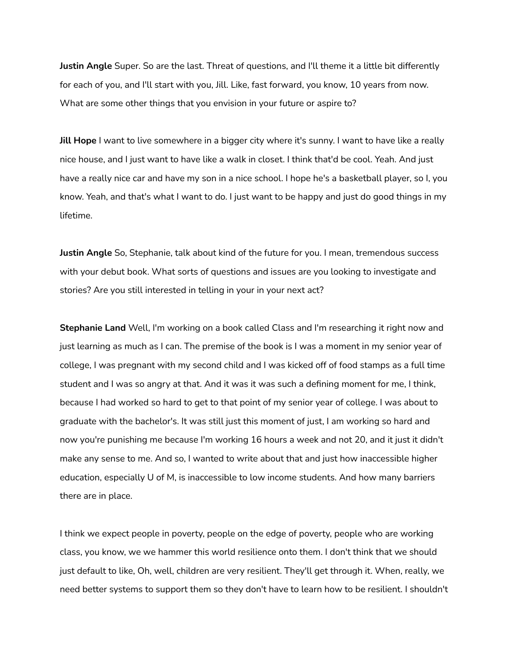**Justin Angle** Super. So are the last. Threat of questions, and I'll theme it a little bit differently for each of you, and I'll start with you, Jill. Like, fast forward, you know, 10 years from now. What are some other things that you envision in your future or aspire to?

**Jill Hope** I want to live somewhere in a bigger city where it's sunny. I want to have like a really nice house, and I just want to have like a walk in closet. I think that'd be cool. Yeah. And just have a really nice car and have my son in a nice school. I hope he's a basketball player, so I, you know. Yeah, and that's what I want to do. I just want to be happy and just do good things in my lifetime.

**Justin Angle** So, Stephanie, talk about kind of the future for you. I mean, tremendous success with your debut book. What sorts of questions and issues are you looking to investigate and stories? Are you still interested in telling in your in your next act?

**Stephanie Land** Well, I'm working on a book called Class and I'm researching it right now and just learning as much as I can. The premise of the book is I was a moment in my senior year of college, I was pregnant with my second child and I was kicked off of food stamps as a full time student and I was so angry at that. And it was it was such a defining moment for me, I think, because I had worked so hard to get to that point of my senior year of college. I was about to graduate with the bachelor's. It was still just this moment of just, I am working so hard and now you're punishing me because I'm working 16 hours a week and not 20, and it just it didn't make any sense to me. And so, I wanted to write about that and just how inaccessible higher education, especially U of M, is inaccessible to low income students. And how many barriers there are in place.

I think we expect people in poverty, people on the edge of poverty, people who are working class, you know, we we hammer this world resilience onto them. I don't think that we should just default to like, Oh, well, children are very resilient. They'll get through it. When, really, we need better systems to support them so they don't have to learn how to be resilient. I shouldn't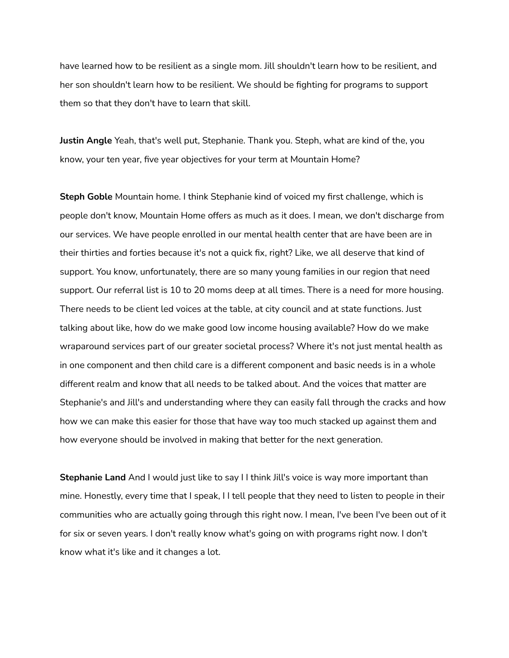have learned how to be resilient as a single mom. Jill shouldn't learn how to be resilient, and her son shouldn't learn how to be resilient. We should be fighting for programs to support them so that they don't have to learn that skill.

**Justin Angle** Yeah, that's well put, Stephanie. Thank you. Steph, what are kind of the, you know, your ten year, five year objectives for your term at Mountain Home?

**Steph Goble** Mountain home. I think Stephanie kind of voiced my first challenge, which is people don't know, Mountain Home offers as much as it does. I mean, we don't discharge from our services. We have people enrolled in our mental health center that are have been are in their thirties and forties because it's not a quick fix, right? Like, we all deserve that kind of support. You know, unfortunately, there are so many young families in our region that need support. Our referral list is 10 to 20 moms deep at all times. There is a need for more housing. There needs to be client led voices at the table, at city council and at state functions. Just talking about like, how do we make good low income housing available? How do we make wraparound services part of our greater societal process? Where it's not just mental health as in one component and then child care is a different component and basic needs is in a whole different realm and know that all needs to be talked about. And the voices that matter are Stephanie's and Jill's and understanding where they can easily fall through the cracks and how how we can make this easier for those that have way too much stacked up against them and how everyone should be involved in making that better for the next generation.

**Stephanie Land** And I would just like to say I I think Jill's voice is way more important than mine. Honestly, every time that I speak, I I tell people that they need to listen to people in their communities who are actually going through this right now. I mean, I've been I've been out of it for six or seven years. I don't really know what's going on with programs right now. I don't know what it's like and it changes a lot.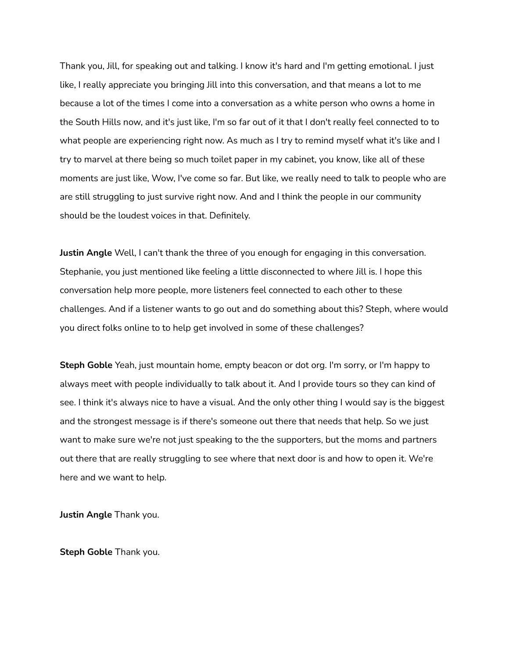Thank you, Jill, for speaking out and talking. I know it's hard and I'm getting emotional. I just like, I really appreciate you bringing Jill into this conversation, and that means a lot to me because a lot of the times I come into a conversation as a white person who owns a home in the South Hills now, and it's just like, I'm so far out of it that I don't really feel connected to to what people are experiencing right now. As much as I try to remind myself what it's like and I try to marvel at there being so much toilet paper in my cabinet, you know, like all of these moments are just like, Wow, I've come so far. But like, we really need to talk to people who are are still struggling to just survive right now. And and I think the people in our community should be the loudest voices in that. Definitely.

**Justin Angle** Well, I can't thank the three of you enough for engaging in this conversation. Stephanie, you just mentioned like feeling a little disconnected to where Jill is. I hope this conversation help more people, more listeners feel connected to each other to these challenges. And if a listener wants to go out and do something about this? Steph, where would you direct folks online to to help get involved in some of these challenges?

**Steph Goble** Yeah, just mountain home, empty beacon or dot org. I'm sorry, or I'm happy to always meet with people individually to talk about it. And I provide tours so they can kind of see. I think it's always nice to have a visual. And the only other thing I would say is the biggest and the strongest message is if there's someone out there that needs that help. So we just want to make sure we're not just speaking to the the supporters, but the moms and partners out there that are really struggling to see where that next door is and how to open it. We're here and we want to help.

**Justin Angle** Thank you.

**Steph Goble** Thank you.